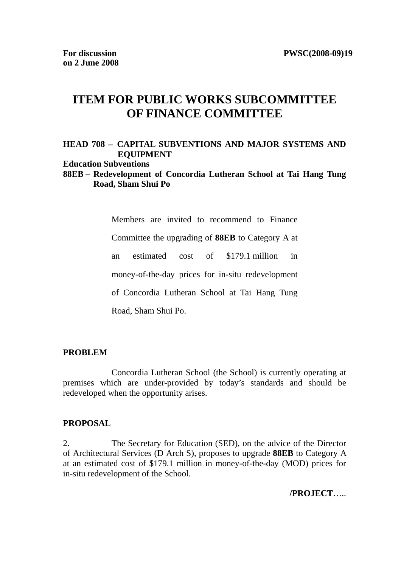## **ITEM FOR PUBLIC WORKS SUBCOMMITTEE OF FINANCE COMMITTEE**

## **HEAD 708 – CAPITAL SUBVENTIONS AND MAJOR SYSTEMS AND EQUIPMENT Education Subventions 88EB – Redevelopment of Concordia Lutheran School at Tai Hang Tung**

# **Road, Sham Shui Po**

Members are invited to recommend to Finance Committee the upgrading of **88EB** to Category A at an estimated cost of \$179.1 million in money-of-the-day prices for in-situ redevelopment of Concordia Lutheran School at Tai Hang Tung Road, Sham Shui Po.

#### **PROBLEM**

 Concordia Lutheran School (the School) is currently operating at premises which are under-provided by today's standards and should be redeveloped when the opportunity arises.

#### **PROPOSAL**

2. The Secretary for Education (SED), on the advice of the Director of Architectural Services (D Arch S), proposes to upgrade **88EB** to Category A at an estimated cost of \$179.1 million in money-of-the-day (MOD) prices for in-situ redevelopment of the School.

**/PROJECT**…..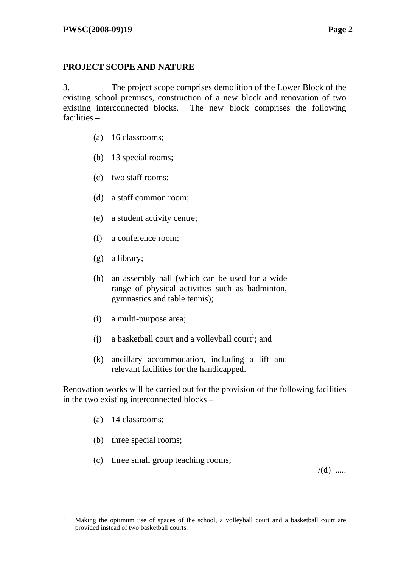## **PROJECT SCOPE AND NATURE**

3. The project scope comprises demolition of the Lower Block of the existing school premises, construction of a new block and renovation of two existing interconnected blocks. The new block comprises the following facilities **–**

- (a) 16 classrooms;
- (b) 13 special rooms;
- (c) two staff rooms;
- (d) a staff common room;
- (e) a student activity centre;
- (f) a conference room;
- (g) a library;
- (h) an assembly hall (which can be used for a wide range of physical activities such as badminton, gymnastics and table tennis);
- (i) a multi-purpose area;
- (j) a basketball court and a volleyball court<sup>1</sup>; and
- (k) ancillary accommodation, including a lift and relevant facilities for the handicapped.

Renovation works will be carried out for the provision of the following facilities in the two existing interconnected blocks –

(a) 14 classrooms;

 $\overline{a}$ 

- (b) three special rooms;
- (c) three small group teaching rooms;

 $/(d)$  .....

<sup>1</sup> Making the optimum use of spaces of the school, a volleyball court and a basketball court are provided instead of two basketball courts.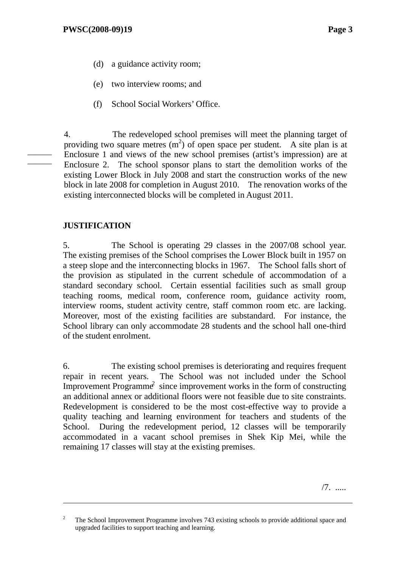- (d) a guidance activity room;
- (e) two interview rooms; and
- (f) School Social Workers' Office.

4. The redeveloped school premises will meet the planning target of providing two square metres  $(m^2)$  of open space per student. A site plan is at Enclosure 1 and views of the new school premises (artist's impression) are at Enclosure 2. The school sponsor plans to start the demolition works of the existing Lower Block in July 2008 and start the construction works of the new block in late 2008 for completion in August 2010. The renovation works of the existing interconnected blocks will be completed in August 2011.

## **JUSTIFICATION**

 $\overline{a}$ 

——— ———

> 5. The School is operating 29 classes in the 2007/08 school year. The existing premises of the School comprises the Lower Block built in 1957 on a steep slope and the interconnecting blocks in 1967. The School falls short of the provision as stipulated in the current schedule of accommodation of a standard secondary school. Certain essential facilities such as small group teaching rooms, medical room, conference room, guidance activity room, interview rooms, student activity centre, staff common room etc. are lacking. Moreover, most of the existing facilities are substandard. For instance, the School library can only accommodate 28 students and the school hall one-third of the student enrolment.

> 6. The existing school premises is deteriorating and requires frequent repair in recent years. The School was not included under the School Improvement Programme<sup>2</sup> since improvement works in the form of constructing an additional annex or additional floors were not feasible due to site constraints. Redevelopment is considered to be the most cost-effective way to provide a quality teaching and learning environment for teachers and students of the School. During the redevelopment period, 12 classes will be temporarily accommodated in a vacant school premises in Shek Kip Mei, while the remaining 17 classes will stay at the existing premises.

> > /7. .....

<sup>2</sup> The School Improvement Programme involves 743 existing schools to provide additional space and upgraded facilities to support teaching and learning.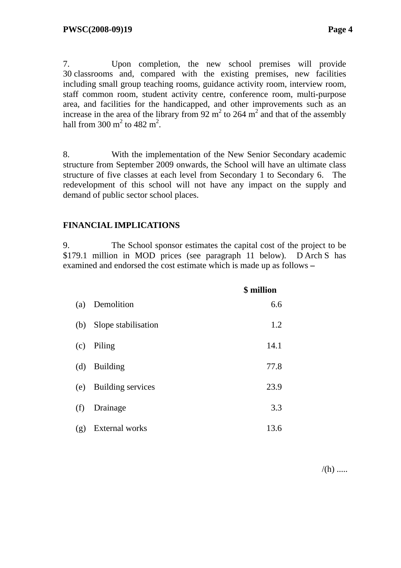7. Upon completion, the new school premises will provide 30 classrooms and, compared with the existing premises, new facilities including small group teaching rooms, guidance activity room, interview room, staff common room, student activity centre, conference room, multi-purpose area, and facilities for the handicapped, and other improvements such as an increase in the area of the library from 92  $m^2$  to 264  $m^2$  and that of the assembly hall from  $300 \text{ m}^2$  to  $482 \text{ m}^2$ .

8. With the implementation of the New Senior Secondary academic structure from September 2009 onwards, the School will have an ultimate class structure of five classes at each level from Secondary 1 to Secondary 6. The redevelopment of this school will not have any impact on the supply and demand of public sector school places.

## **FINANCIAL IMPLICATIONS**

9. The School sponsor estimates the capital cost of the project to be \$179.1 million in MOD prices (see paragraph 11 below). D Arch S has examined and endorsed the cost estimate which is made up as follows **–**

|     |                       | \$ million |
|-----|-----------------------|------------|
| (a) | Demolition            | 6.6        |
| (b) | Slope stabilisation   | 1.2        |
| (c) | Piling                | 14.1       |
| (d) | <b>Building</b>       | 77.8       |
| (e) | Building services     | 23.9       |
| (f) | Drainage              | 3.3        |
| (g) | <b>External</b> works | 13.6       |

 $/(h)$  .....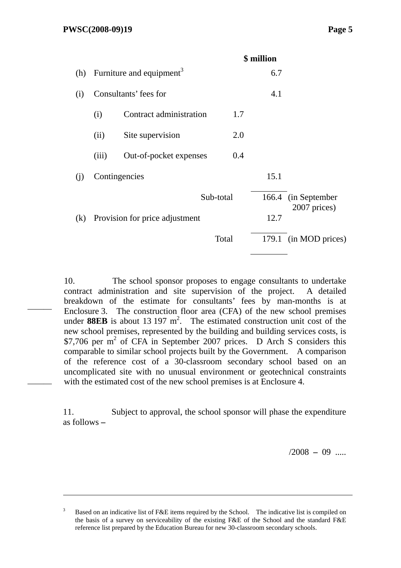———

———

 $\overline{a}$ 

|     |                                      |                                |           | \$ million |                                     |
|-----|--------------------------------------|--------------------------------|-----------|------------|-------------------------------------|
| (h) | Furniture and equipment <sup>3</sup> |                                |           | 6.7        |                                     |
| (i) |                                      | Consultants' fees for          |           | 4.1        |                                     |
|     | (i)                                  | Contract administration        | 1.7       |            |                                     |
|     | (ii)                                 | Site supervision               | 2.0       |            |                                     |
|     | (iii)                                | Out-of-pocket expenses         | 0.4       |            |                                     |
| (i) | Contingencies                        |                                |           | 15.1       |                                     |
|     |                                      |                                | Sub-total |            | 166.4 (in September<br>2007 prices) |
| (k) |                                      | Provision for price adjustment |           | 12.7       |                                     |
|     |                                      |                                | Total     |            | 179.1 (in MOD prices)               |
|     |                                      |                                |           |            |                                     |

10. The school sponsor proposes to engage consultants to undertake contract administration and site supervision of the project. A detailed breakdown of the estimate for consultants' fees by man-months is at Enclosure 3. The construction floor area (CFA) of the new school premises under **88EB** is about 13 197  $m^2$ . The estimated construction unit cost of the new school premises, represented by the building and building services costs, is \$7,706 per m<sup>2</sup> of CFA in September 2007 prices. D Arch S considers this comparable to similar school projects built by the Government. A comparison of the reference cost of a 30-classroom secondary school based on an uncomplicated site with no unusual environment or geotechnical constraints with the estimated cost of the new school premises is at Enclosure 4.

11. Subject to approval, the school sponsor will phase the expenditure as follows **–**

/2008 **–** 09 .....

<sup>3</sup> Based on an indicative list of F&E items required by the School. The indicative list is compiled on the basis of a survey on serviceability of the existing F&E of the School and the standard F&E reference list prepared by the Education Bureau for new 30-classroom secondary schools.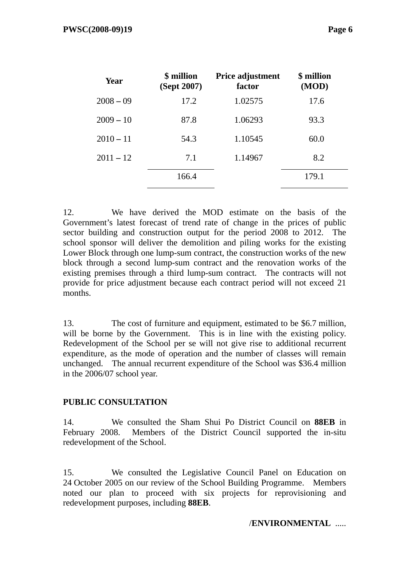| Year        | \$ million<br>(Sept 2007) | Price adjustment<br>factor | \$ million<br>(MOD) |  |
|-------------|---------------------------|----------------------------|---------------------|--|
| $2008 - 09$ | 17.2                      | 1.02575                    | 17.6                |  |
| $2009 - 10$ | 87.8                      | 1.06293                    | 93.3                |  |
| $2010 - 11$ | 54.3                      | 1.10545                    | 60.0                |  |
| $2011 - 12$ | 7.1                       | 1.14967                    | 8.2                 |  |
|             | 166.4                     |                            | 179.1               |  |

12. We have derived the MOD estimate on the basis of the Government's latest forecast of trend rate of change in the prices of public sector building and construction output for the period 2008 to 2012. The school sponsor will deliver the demolition and piling works for the existing Lower Block through one lump-sum contract, the construction works of the new block through a second lump-sum contract and the renovation works of the existing premises through a third lump-sum contract. The contracts will not provide for price adjustment because each contract period will not exceed 21 months.

13. The cost of furniture and equipment, estimated to be \$6.7 million, will be borne by the Government. This is in line with the existing policy. Redevelopment of the School per se will not give rise to additional recurrent expenditure, as the mode of operation and the number of classes will remain unchanged. The annual recurrent expenditure of the School was \$36.4 million in the 2006/07 school year.

## **PUBLIC CONSULTATION**

14. We consulted the Sham Shui Po District Council on **88EB** in February 2008. Members of the District Council supported the in-situ redevelopment of the School.

15. We consulted the Legislative Council Panel on Education on 24 October 2005 on our review of the School Building Programme. Members noted our plan to proceed with six projects for reprovisioning and redevelopment purposes, including **88EB**.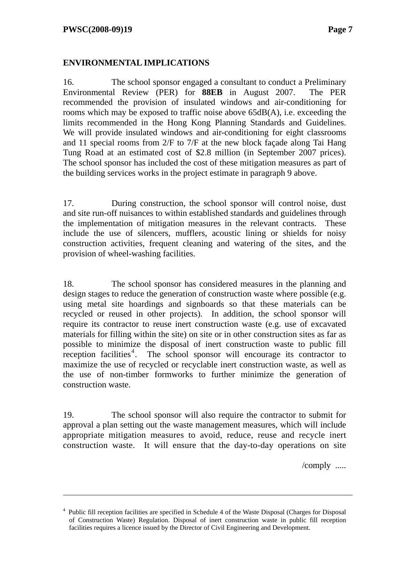$\overline{a}$ 

## **ENVIRONMENTAL IMPLICATIONS**

16. The school sponsor engaged a consultant to conduct a Preliminary Environmental Review (PER) for **88EB** in August 2007. The PER recommended the provision of insulated windows and air-conditioning for rooms which may be exposed to traffic noise above 65dB(A), i.e. exceeding the limits recommended in the Hong Kong Planning Standards and Guidelines. We will provide insulated windows and air-conditioning for eight classrooms and 11 special rooms from 2/F to 7/F at the new block façade along Tai Hang Tung Road at an estimated cost of \$2.8 million (in September 2007 prices). The school sponsor has included the cost of these mitigation measures as part of the building services works in the project estimate in paragraph 9 above.

17. During construction, the school sponsor will control noise, dust and site run-off nuisances to within established standards and guidelines through the implementation of mitigation measures in the relevant contracts. These include the use of silencers, mufflers, acoustic lining or shields for noisy construction activities, frequent cleaning and watering of the sites, and the provision of wheel-washing facilities.

18. The school sponsor has considered measures in the planning and design stages to reduce the generation of construction waste where possible (e.g. using metal site hoardings and signboards so that these materials can be recycled or reused in other projects). In addition, the school sponsor will require its contractor to reuse inert construction waste (e.g. use of excavated materials for filling within the site) on site or in other construction sites as far as possible to minimize the disposal of inert construction waste to public fill reception facilities<sup>4</sup>. The school sponsor will encourage its contractor to maximize the use of recycled or recyclable inert construction waste, as well as the use of non-timber formworks to further minimize the generation of construction waste.

19. The school sponsor will also require the contractor to submit for approval a plan setting out the waste management measures, which will include appropriate mitigation measures to avoid, reduce, reuse and recycle inert construction waste. It will ensure that the day-to-day operations on site

/comply .....

<sup>&</sup>lt;sup>4</sup> Public fill reception facilities are specified in Schedule 4 of the Waste Disposal (Charges for Disposal of Construction Waste) Regulation. Disposal of inert construction waste in public fill reception facilities requires a licence issued by the Director of Civil Engineering and Development.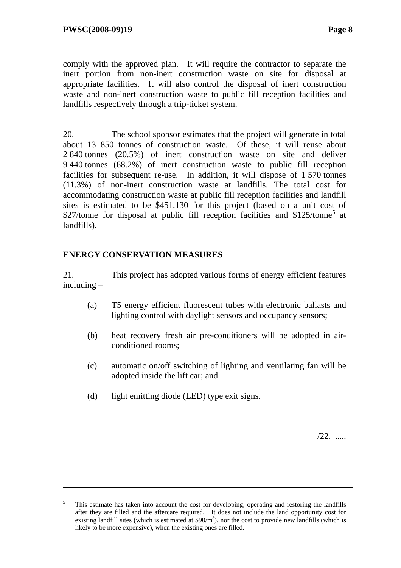comply with the approved plan. It will require the contractor to separate the inert portion from non-inert construction waste on site for disposal at appropriate facilities. It will also control the disposal of inert construction waste and non-inert construction waste to public fill reception facilities and landfills respectively through a trip-ticket system.

20. The school sponsor estimates that the project will generate in total about 13 850 tonnes of construction waste. Of these, it will reuse about 2 840 tonnes (20.5%) of inert construction waste on site and deliver 9 440 tonnes (68.2%) of inert construction waste to public fill reception facilities for subsequent re-use. In addition, it will dispose of 1 570 tonnes (11.3%) of non-inert construction waste at landfills. The total cost for accommodating construction waste at public fill reception facilities and landfill sites is estimated to be \$451,130 for this project (based on a unit cost of \$27/tonne for disposal at public fill reception facilities and \$125/tonne<sup>5</sup> at landfills).

## **ENERGY CONSERVATION MEASURES**

 $\overline{a}$ 

21. This project has adopted various forms of energy efficient features including **–**

- (a) T5 energy efficient fluorescent tubes with electronic ballasts and lighting control with daylight sensors and occupancy sensors;
- (b) heat recovery fresh air pre-conditioners will be adopted in airconditioned rooms;
- (c) automatic on/off switching of lighting and ventilating fan will be adopted inside the lift car; and
- (d) light emitting diode (LED) type exit signs.

/22. .....

<sup>5</sup> This estimate has taken into account the cost for developing, operating and restoring the landfills after they are filled and the aftercare required. It does not include the land opportunity cost for existing landfill sites (which is estimated at  $$90/m<sup>3</sup>$ ), nor the cost to provide new landfills (which is likely to be more expensive), when the existing ones are filled.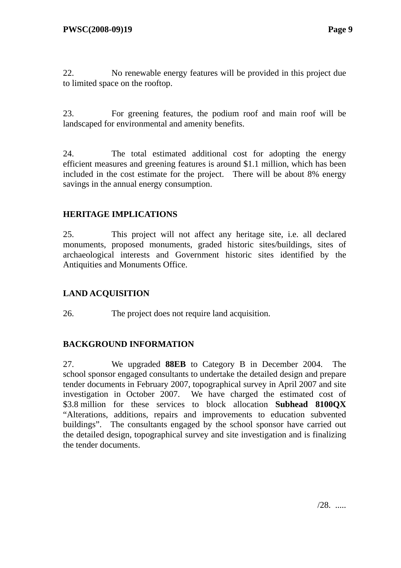22. No renewable energy features will be provided in this project due to limited space on the rooftop.

23. For greening features, the podium roof and main roof will be landscaped for environmental and amenity benefits.

24. The total estimated additional cost for adopting the energy efficient measures and greening features is around \$1.1 million, which has been included in the cost estimate for the project. There will be about 8% energy savings in the annual energy consumption.

## **HERITAGE IMPLICATIONS**

25. This project will not affect any heritage site, i.e. all declared monuments, proposed monuments, graded historic sites/buildings, sites of archaeological interests and Government historic sites identified by the Antiquities and Monuments Office.

## **LAND ACQUISITION**

26. The project does not require land acquisition.

## **BACKGROUND INFORMATION**

27. We upgraded **88EB** to Category B in December 2004. The school sponsor engaged consultants to undertake the detailed design and prepare tender documents in February 2007, topographical survey in April 2007 and site investigation in October 2007. We have charged the estimated cost of \$3.8 million for these services to block allocation **Subhead 8100QX** "Alterations, additions, repairs and improvements to education subvented buildings". The consultants engaged by the school sponsor have carried out the detailed design, topographical survey and site investigation and is finalizing the tender documents.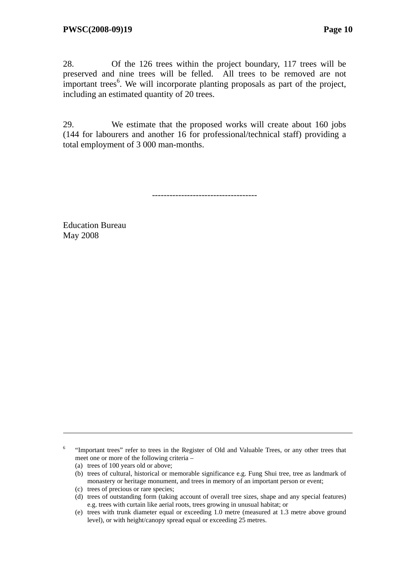28. Of the 126 trees within the project boundary, 117 trees will be preserved and nine trees will be felled. All trees to be removed are not important trees<sup>6</sup>. We will incorporate planting proposals as part of the project, including an estimated quantity of 20 trees.

29. We estimate that the proposed works will create about 160 jobs (144 for labourers and another 16 for professional/technical staff) providing a total employment of 3 000 man-months.

------------------------------------

Education Bureau May 2008

6 "Important trees" refer to trees in the Register of Old and Valuable Trees, or any other trees that meet one or more of the following criteria –

(a) trees of 100 years old or above;

 $\overline{a}$ 

- (b) trees of cultural, historical or memorable significance e.g. Fung Shui tree, tree as landmark of monastery or heritage monument, and trees in memory of an important person or event;
- (c) trees of precious or rare species;
- (d) trees of outstanding form (taking account of overall tree sizes, shape and any special features) e.g. trees with curtain like aerial roots, trees growing in unusual habitat; or
- (e) trees with trunk diameter equal or exceeding 1.0 metre (measured at 1.3 metre above ground level), or with height/canopy spread equal or exceeding 25 metres.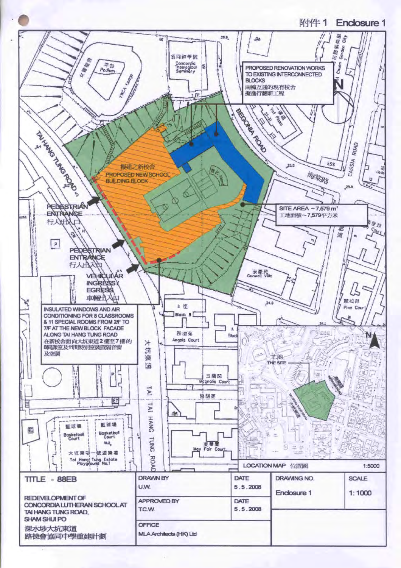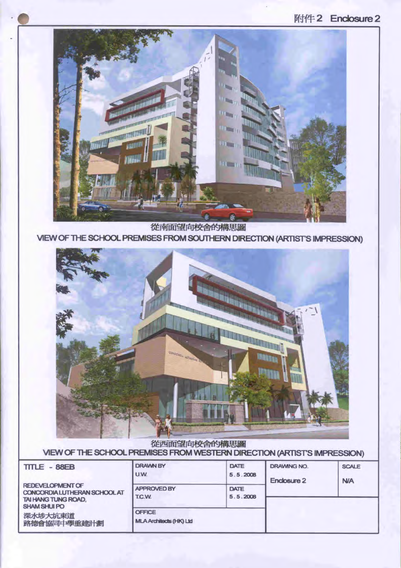## 附件2 Enclosure 2



從南面望向校舍的構思圖 VIEW OF THE SCHOOL PREMISES FROM SOUTHERN DIRECTION (ARTIST'S IMPRESSION)



從西面望向校舍的構思圖 VIEW OF THE SCHOOL PREMISES FROM WESTERN DIRECTION (ARTISTS IMPRESSION)

| TITLE - 88EB                                                                                   | <b>DRAWN BY</b><br><b>U.W.</b>                  | DATE<br>5.5.2008 | <b>DRAWING NO.</b><br>Enclosure 2 | <b>SCALE</b><br><b>N/A</b> |
|------------------------------------------------------------------------------------------------|-------------------------------------------------|------------------|-----------------------------------|----------------------------|
| REDEVELOPMENT OF<br>CONCORDIA LUTHERAN SCHOOL AT<br>TAI HANG TUNG ROAD,<br><b>SHAM SHUI PO</b> | <b>APPROVED BY</b><br>T.C.W.                    | DATE<br>5.5.2008 |                                   |                            |
| 深水埗大坑東道<br>路德會協同中學重建計劃                                                                         | <b>OFFICE</b><br><b>MLA Architects (HK) Ltd</b> |                  |                                   |                            |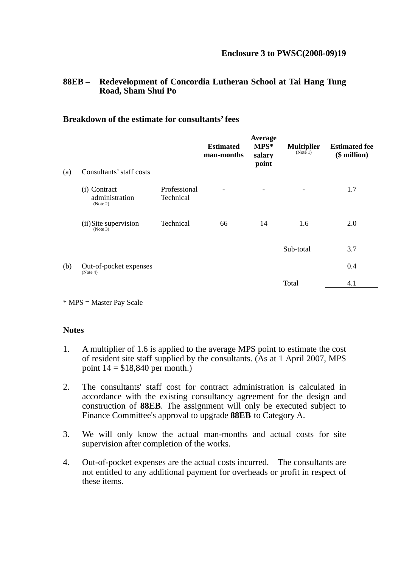## **88EB – Redevelopment of Concordia Lutheran School at Tai Hang Tung Road, Sham Shui Po**

#### **Breakdown of the estimate for consultants' fees**

| (a) | Consultants' staff costs                   |                           | <b>Estimated</b><br>man-months | Average<br>$MPS*$<br>salary<br>point | <b>Multiplier</b><br>(Note 1) | <b>Estimated fee</b><br>$($$ million $)$ |
|-----|--------------------------------------------|---------------------------|--------------------------------|--------------------------------------|-------------------------------|------------------------------------------|
|     | (i) Contract<br>administration<br>(Note 2) | Professional<br>Technical |                                |                                      |                               | 1.7                                      |
|     | (ii) Site supervision<br>$^{(Note 3)}$     | Technical                 | 66                             | 14                                   | 1.6                           | 2.0                                      |
|     |                                            |                           |                                |                                      | Sub-total                     | 3.7                                      |
| (b) | Out-of-pocket expenses<br>(Note 4)         |                           |                                |                                      |                               | 0.4                                      |
|     |                                            |                           |                                |                                      | Total                         | 4.1                                      |
|     |                                            |                           |                                |                                      |                               |                                          |

\* MPS = Master Pay Scale

#### **Notes**

- 1. A multiplier of 1.6 is applied to the average MPS point to estimate the cost of resident site staff supplied by the consultants. (As at 1 April 2007, MPS point  $14 = $18,840$  per month.)
- 2. The consultants' staff cost for contract administration is calculated in accordance with the existing consultancy agreement for the design and construction of **88EB**. The assignment will only be executed subject to Finance Committee's approval to upgrade **88EB** to Category A.
- 3. We will only know the actual man-months and actual costs for site supervision after completion of the works.
- 4. Out-of-pocket expenses are the actual costs incurred. The consultants are not entitled to any additional payment for overheads or profit in respect of these items.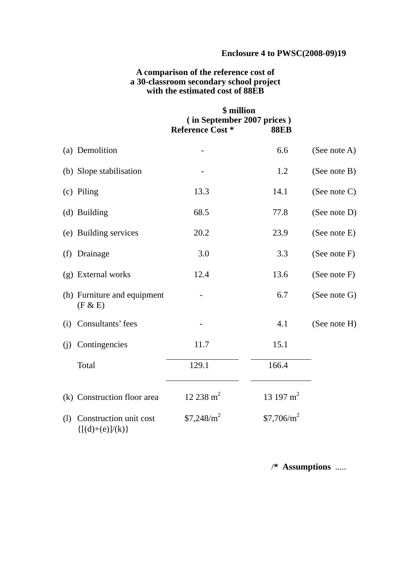## **Enclosure 4 to PWSC(2008-09)19**

## **A comparison of the reference cost of a 30-classroom secondary school project with the estimated cost of 88EB**

|     |                                               | \$ million<br>(in September 2007 prices)<br><b>Reference Cost *</b> | <b>88EB</b>           |                 |
|-----|-----------------------------------------------|---------------------------------------------------------------------|-----------------------|-----------------|
|     | (a) Demolition                                |                                                                     | 6.6                   | (See note A)    |
|     | (b) Slope stabilisation                       |                                                                     | 1.2                   | (See note B)    |
|     | (c) Piling                                    | 13.3                                                                | 14.1                  | (See note $C$ ) |
|     | (d) Building                                  | 68.5                                                                | 77.8                  | (See note D)    |
|     | (e) Building services                         | 20.2                                                                | 23.9                  | (See note E)    |
|     | (f) Drainage                                  | 3.0                                                                 | 3.3                   | (See note F)    |
|     | (g) External works                            | 12.4                                                                | 13.6                  | (See note F)    |
|     | (h) Furniture and equipment<br>(F & E)        |                                                                     | 6.7                   | (See note G)    |
| (i) | Consultants' fees                             |                                                                     | 4.1                   | (See note H)    |
| (i) | Contingencies                                 | 11.7                                                                | 15.1                  |                 |
|     | Total                                         | 129.1                                                               | 166.4                 |                 |
|     | (k) Construction floor area                   | $12\,238\,\mathrm{m}^2$                                             | 13 197 m <sup>2</sup> |                 |
| (1) | Construction unit cost<br>$\{[(d)+(e)]/(k)\}$ | $$7,248/m^2$                                                        | $$7,706/m^2$          |                 |

/**\* Assumptions** .....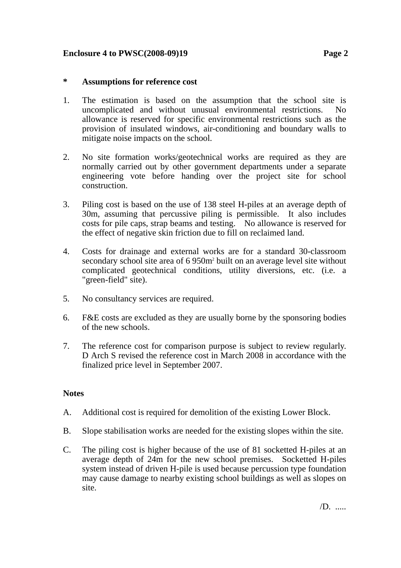## **Enclosure 4 to PWSC(2008-09)19 Page 2**

## **\* Assumptions for reference cost**

- 1. The estimation is based on the assumption that the school site is uncomplicated and without unusual environmental restrictions. No allowance is reserved for specific environmental restrictions such as the provision of insulated windows, air-conditioning and boundary walls to mitigate noise impacts on the school.
- 2. No site formation works/geotechnical works are required as they are normally carried out by other government departments under a separate engineering vote before handing over the project site for school construction.
- 3. Piling cost is based on the use of 138 steel H-piles at an average depth of 30m, assuming that percussive piling is permissible. It also includes costs for pile caps, strap beams and testing. No allowance is reserved for the effect of negative skin friction due to fill on reclaimed land.
- 4. Costs for drainage and external works are for a standard 30-classroom secondary school site area of 6 950m<sup>2</sup> built on an average level site without complicated geotechnical conditions, utility diversions, etc. (i.e. a "green-field" site).
- 5. No consultancy services are required.
- 6. F&E costs are excluded as they are usually borne by the sponsoring bodies of the new schools.
- 7. The reference cost for comparison purpose is subject to review regularly. D Arch S revised the reference cost in March 2008 in accordance with the finalized price level in September 2007.

#### **Notes**

- A. Additional cost is required for demolition of the existing Lower Block.
- B. Slope stabilisation works are needed for the existing slopes within the site.
- C. The piling cost is higher because of the use of 81 socketted H-piles at an average depth of 24m for the new school premises. Socketted H-piles system instead of driven H-pile is used because percussion type foundation may cause damage to nearby existing school buildings as well as slopes on site.

/D. .....